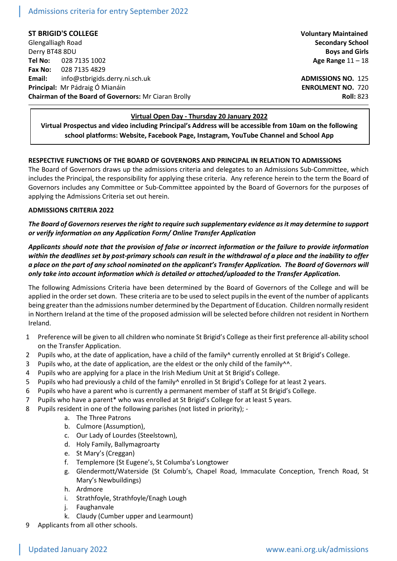# Admissions criteria for entry September 2022

**ST BRIGID'S COLLEGE Voluntary Maintained**

Glengalliagh Road **Secondary School** Derry BT48 8DU **Boys and Girls Tel No:** 028 7135 1002 **Age Range** 11 – 18 **Fax No:** 028 7135 4829 **Email:** info@stbrigids.derry.ni.sch.uk **ADMISSIONS NO.** 125 **Principal:** Mr Pádraig Ó Mianáin **ENROLMENT NO.** 720 **Chairman of the Board of Governors:** Mr Ciaran Brolly **Roll: 823 Roll: 823** 

#### **Virtual Open Day - Thursday 20 January 2022**

**Virtual Prospectus and video including Principal's Address will be accessible from 10am on the following school platforms: Website, Facebook Page, Instagram, YouTube Channel and School App**

### **RESPECTIVE FUNCTIONS OF THE BOARD OF GOVERNORS AND PRINCIPAL IN RELATION TO ADMISSIONS**

The Board of Governors draws up the admissions criteria and delegates to an Admissions Sub-Committee, which includes the Principal, the responsibility for applying these criteria. Any reference herein to the term the Board of Governors includes any Committee or Sub-Committee appointed by the Board of Governors for the purposes of applying the Admissions Criteria set out herein.

#### **ADMISSIONS CRITERIA 2022**

# *The Board of Governors reserves the right to require such supplementary evidence as it may determine to support or verify information on any Application Form/ Online Transfer Application*

*Applicants should note that the provision of false or incorrect information or the failure to provide information within the deadlines set by post-primary schools can result in the withdrawal of a place and the inability to offer a place on the part of any school nominated on the applicant's Transfer Application. The Board of Governors will only take into account information which is detailed or attached/uploaded to the Transfer Application.*

The following Admissions Criteria have been determined by the Board of Governors of the College and will be applied in the order set down. These criteria are to be used to select pupils in the event of the number of applicants being greater than the admissions number determined by the Department of Education. Children normally resident in Northern Ireland at the time of the proposed admission will be selected before children not resident in Northern Ireland.

- 1 Preference will be given to all children who nominate St Brigid's College as their first preference all-ability school on the Transfer Application.
- 2 Pupils who, at the date of application, have a child of the family<sup>^</sup> currently enrolled at St Brigid's College.
- 3 Pupils who, at the date of application, are the eldest or the only child of the family<sup> $\wedge\wedge$ </sup>.
- 4 Pupils who are applying for a place in the Irish Medium Unit at St Brigid's College.
- 5 Pupils who had previously a child of the family^ enrolled in St Brigid's College for at least 2 years.
- 6 Pupils who have a parent who is currently a permanent member of staff at St Brigid's College.
- 7 Pupils who have a parent\* who was enrolled at St Brigid's College for at least 5 years.
- 8 Pupils resident in one of the following parishes (not listed in priority);
	- a. The Three Patrons
		- b. Culmore (Assumption),
		- c. Our Lady of Lourdes (Steelstown),
	- d. Holy Family, Ballymagroarty
	- e. St Mary's (Creggan)
	- f. Templemore (St Eugene's, St Columba's Longtower
	- g. Glendermott/Waterside (St Columb's, Chapel Road, Immaculate Conception, Trench Road, St Mary's Newbuildings)
	- h. Ardmore
	- i. Strathfoyle, Strathfoyle/Enagh Lough
	- j. Faughanvale
	- k. Claudy (Cumber upper and Learmount)
- Applicants from all other schools.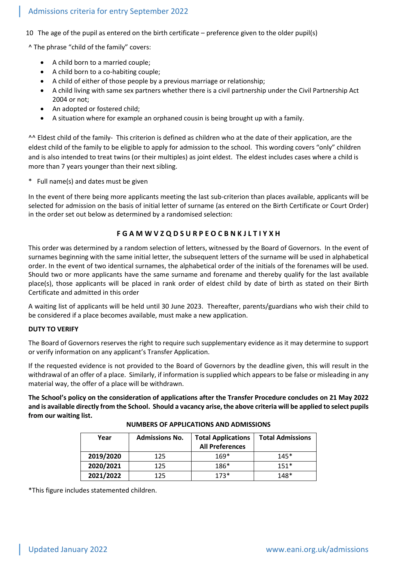# Admissions criteria for entry September 2022

10 The age of the pupil as entered on the birth certificate – preference given to the older pupil(s)

^ The phrase "child of the family" covers:

- A child born to a married couple;
- A child born to a co-habiting couple;
- A child of either of those people by a previous marriage or relationship;
- A child living with same sex partners whether there is a civil partnership under the Civil Partnership Act 2004 or not;
- An adopted or fostered child;
- A situation where for example an orphaned cousin is being brought up with a family.

^^ Eldest child of the family- This criterion is defined as children who at the date of their application, are the eldest child of the family to be eligible to apply for admission to the school. This wording covers "only" children and is also intended to treat twins (or their multiples) as joint eldest. The eldest includes cases where a child is more than 7 years younger than their next sibling.

\* Full name(s) and dates must be given

In the event of there being more applicants meeting the last sub-criterion than places available, applicants will be selected for admission on the basis of initial letter of surname (as entered on the Birth Certificate or Court Order) in the order set out below as determined by a randomised selection:

### **F G A M W V Z Q D S U R P E O C B N K J L T I Y X H**

This order was determined by a random selection of letters, witnessed by the Board of Governors. In the event of surnames beginning with the same initial letter, the subsequent letters of the surname will be used in alphabetical order. In the event of two identical surnames, the alphabetical order of the initials of the forenames will be used. Should two or more applicants have the same surname and forename and thereby qualify for the last available place(s), those applicants will be placed in rank order of eldest child by date of birth as stated on their Birth Certificate and admitted in this order

A waiting list of applicants will be held until 30 June 2023. Thereafter, parents/guardians who wish their child to be considered if a place becomes available, must make a new application.

#### **DUTY TO VERIFY**

The Board of Governors reserves the right to require such supplementary evidence as it may determine to support or verify information on any applicant's Transfer Application.

If the requested evidence is not provided to the Board of Governors by the deadline given, this will result in the withdrawal of an offer of a place. Similarly, if information is supplied which appears to be false or misleading in any material way, the offer of a place will be withdrawn.

**The School's policy on the consideration of applications after the Transfer Procedure concludes on 21 May 2022 and is available directly from the School. Should a vacancy arise, the above criteria will be applied to select pupils from our waiting list.**

| Year      | <b>Admissions No.</b> | <b>Total Applications</b><br><b>All Preferences</b> | <b>Total Admissions</b> |
|-----------|-----------------------|-----------------------------------------------------|-------------------------|
| 2019/2020 | 125                   | $169*$                                              | $145*$                  |
| 2020/2021 | 125                   | 186*                                                | $151*$                  |
| 2021/2022 | 125                   | $173*$                                              | $148*$                  |

#### **NUMBERS OF APPLICATIONS AND ADMISSIONS**

\*This figure includes statemented children.